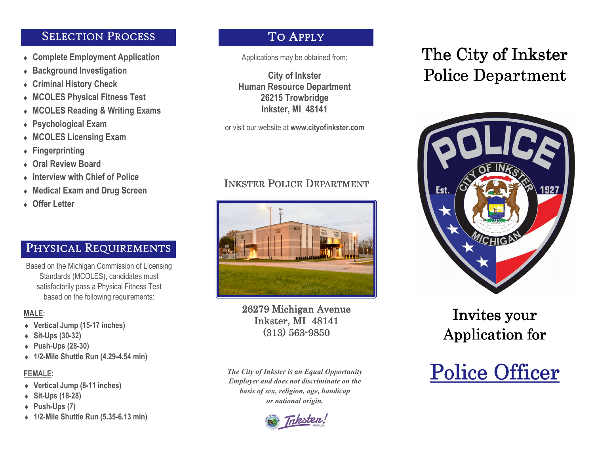### SELECTION PROCESS

- ♦ **Complete Employment Application**
- ♦ **Background Investigation**
- ♦ **Criminal History Check**
- ♦ **MCOLES Physical Fitness Test**
- ♦ **MCOLES Reading & Writing Exams**
- ♦ **Psychological Exam**
- ♦ **MCOLES Licensing Exam**
- ♦ **Fingerprinting**
- ♦ **Oral Review Board**
- ♦ **Interview with Chief of Police**
- ♦ **Medical Exam and Drug Screen**
- ♦ **Offer Letter**

## PHYSICAL REQUIREMENTS

Based on the Michigan Commission of Licensing Standards (MCOLES), candidates must satisfactorily pass a Physical Fitness Test based on the following requirements:

#### **MALE:**

- ♦ **Vertical Jump (15-17 inches)**
- ♦ **Sit-Ups (30-32)**
- ♦ **Push-Ups (28-30)**
- ♦ **1/2-Mile Shuttle Run (4.29-4.54 min)**

### **FEMALE:**

- ♦ **Vertical Jump (8-11 inches)**
- ♦ **Sit-Ups (18-28)**
- ♦ **Push-Ups (7)**
- ♦ **1/2-Mile Shuttle Run (5.35-6.13 min)**

### TO APPLY

Applications may be obtained from:

**City of Inkster Human Resource Department 26215 Trowbridge Inkster, MI 48141** 

or visit our website at **www.cityofinkster.com**

# INKSTER POLICE DEPARTMENT



26279 Michigan Avenue 26279 Michigan AvenueInkster, MI 48141 (313) 563-9850

*The City of Inkster is an Equal Opportunity Employer and does not discriminate on thebasis of sex, religion, age, handicapor national origin.*

Trksten,

# The City of Inkster Police Department



# Invites your Application for